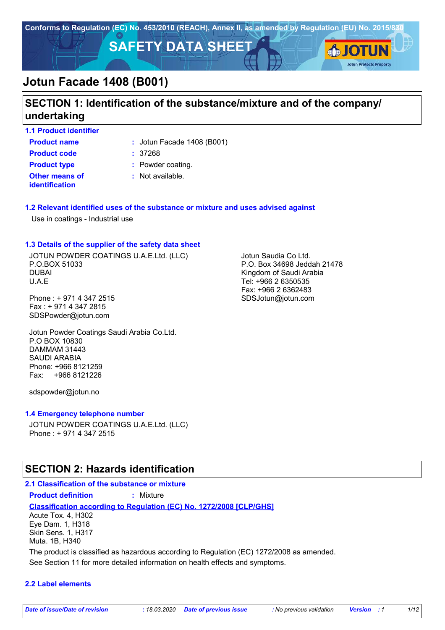

## **SECTION 1: Identification of the substance/mixture and of the company/ undertaking**

**1.1 Product identifier**

**Product name**  $\qquad$ : Jotun Facade 1408 (B001)

**Other means of identification Product code :** 37268 **Product type :** Powder coating.

**:** Not available.

#### **1.2 Relevant identified uses of the substance or mixture and uses advised against**

Use in coatings - Industrial use

#### **1.3 Details of the supplier of the safety data sheet**

JOTUN POWDER COATINGS U.A.E.Ltd. (LLC) P.O.BOX 51033 DUBAI U.A.E

Phone : + 971 4 347 2515 Fax : + 971 4 347 2815 SDSPowder@jotun.com

Jotun Powder Coatings Saudi Arabia Co.Ltd. P.O BOX 10830 DAMMAM 31443 SAUDI ARABIA Phone: +966 8121259 Fax: +966 8121226

sdspowder@jotun.no

#### **1.4 Emergency telephone number**

JOTUN POWDER COATINGS U.A.E.Ltd. (LLC) Phone : + 971 4 347 2515

### **SECTION 2: Hazards identification**

#### **2.1 Classification of the substance or mixture Product definition :** Mixture

**Classification according to Regulation (EC) No. 1272/2008 [CLP/GHS]** Acute Tox. 4, H302

Eye Dam. 1, H318 Skin Sens. 1, H317 Muta. 1B, H340

The product is classified as hazardous according to Regulation (EC) 1272/2008 as amended.

See Section 11 for more detailed information on health effects and symptoms.

#### **2.2 Label elements**

Jotun Saudia Co Ltd. P.O. Box 34698 Jeddah 21478 Kingdom of Saudi Arabia Tel: +966 2 6350535 Fax: +966 2 6362483 SDSJotun@jotun.com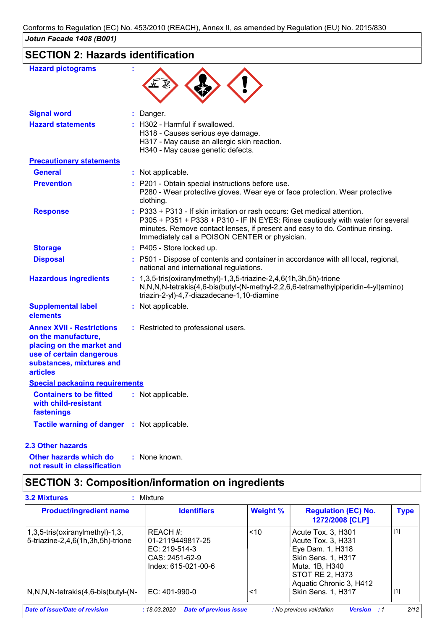# **SECTION 2: Hazards identification**

| <b>Signal word</b>                                                                                                                                              | Danger.                                                                                                                                                                                                                                                                                      |
|-----------------------------------------------------------------------------------------------------------------------------------------------------------------|----------------------------------------------------------------------------------------------------------------------------------------------------------------------------------------------------------------------------------------------------------------------------------------------|
| <b>Hazard statements</b>                                                                                                                                        | H302 - Harmful if swallowed.<br>H318 - Causes serious eye damage.<br>H317 - May cause an allergic skin reaction.<br>H340 - May cause genetic defects.                                                                                                                                        |
| <b>Precautionary statements</b>                                                                                                                                 |                                                                                                                                                                                                                                                                                              |
| <b>General</b>                                                                                                                                                  | : Not applicable.                                                                                                                                                                                                                                                                            |
| <b>Prevention</b>                                                                                                                                               | : P201 - Obtain special instructions before use.<br>P280 - Wear protective gloves. Wear eye or face protection. Wear protective<br>clothing.                                                                                                                                                 |
| <b>Response</b>                                                                                                                                                 | P333 + P313 - If skin irritation or rash occurs: Get medical attention.<br>P305 + P351 + P338 + P310 - IF IN EYES: Rinse cautiously with water for several<br>minutes. Remove contact lenses, if present and easy to do. Continue rinsing.<br>Immediately call a POISON CENTER or physician. |
| <b>Storage</b>                                                                                                                                                  | : P405 - Store locked up.                                                                                                                                                                                                                                                                    |
| <b>Disposal</b>                                                                                                                                                 | : P501 - Dispose of contents and container in accordance with all local, regional,<br>national and international regulations.                                                                                                                                                                |
| <b>Hazardous ingredients</b>                                                                                                                                    | $: 1,3,5$ -tris(oxiranylmethyl)-1,3,5-triazine-2,4,6(1h,3h,5h)-trione<br>N,N,N,N-tetrakis(4,6-bis(butyl-(N-methyl-2,2,6,6-tetramethylpiperidin-4-yl)amino)<br>triazin-2-yl)-4,7-diazadecane-1,10-diamine                                                                                     |
| <b>Supplemental label</b><br>elements                                                                                                                           | : Not applicable.                                                                                                                                                                                                                                                                            |
| <b>Annex XVII - Restrictions</b><br>on the manufacture,<br>placing on the market and<br>use of certain dangerous<br>substances, mixtures and<br><b>articles</b> | : Restricted to professional users.                                                                                                                                                                                                                                                          |
| <b>Special packaging requirements</b>                                                                                                                           |                                                                                                                                                                                                                                                                                              |
| <b>Containers to be fitted</b><br>with child-resistant<br>fastenings                                                                                            | : Not applicable.                                                                                                                                                                                                                                                                            |
| Tactile warning of danger : Not applicable.                                                                                                                     |                                                                                                                                                                                                                                                                                              |

#### **2.3 Other hazards**

**Other hazards which do : not result in classification** : None known.

# **SECTION 3: Composition/information on ingredients**

| <b>Product/ingredient name</b>                                       | <b>Identifiers</b>                                                                       | <b>Weight %</b> | <b>Regulation (EC) No.</b><br>1272/2008 [CLP]                                                                                                      | <b>Type</b> |
|----------------------------------------------------------------------|------------------------------------------------------------------------------------------|-----------------|----------------------------------------------------------------------------------------------------------------------------------------------------|-------------|
| 1,3,5-tris(oxiranylmethyl)-1,3,<br>5-triazine-2,4,6(1h,3h,5h)-trione | REACH #:<br>01-2119449817-25<br>EC: $219-514-3$<br>CAS: 2451-62-9<br>Index: 615-021-00-6 | ~10             | Acute Tox. 3, H301<br>Acute Tox. 3, H331<br>Eye Dam. 1, H318<br>Skin Sens. 1, H317<br>Muta. 1B, H340<br>STOT RE 2, H373<br>Aquatic Chronic 3, H412 | $[1]$       |
| $N, N, N$ -tetrakis $(4, 6$ -bis $(buty)-(N-$                        | EC: 401-990-0                                                                            | <1              | Skin Sens. 1, H317                                                                                                                                 | $[1]$       |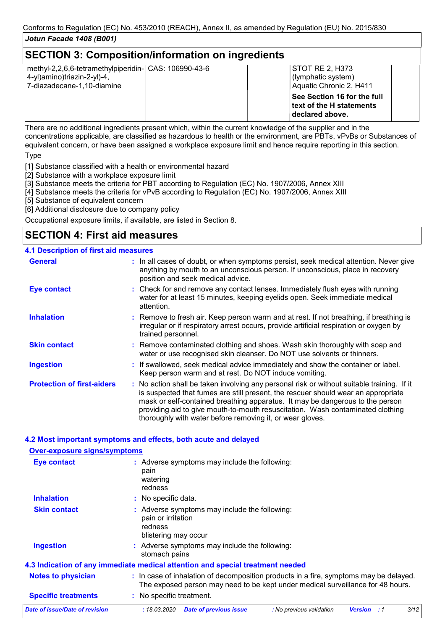### **SECTION 3: Composition/information on ingredients**

| methyl-2,2,6,6-tetramethylpiperidin- CAS: 106990-43-6<br>4-yl)amino)triazin-2-yl)-4,<br>7-diazadecane-1,10-diamine | STOT RE 2. H373 | (lymphatic system)<br>Aquatic Chronic 2, H411           |  |
|--------------------------------------------------------------------------------------------------------------------|-----------------|---------------------------------------------------------|--|
|                                                                                                                    | declared above. | See Section 16 for the full<br>text of the H statements |  |

There are no additional ingredients present which, within the current knowledge of the supplier and in the concentrations applicable, are classified as hazardous to health or the environment, are PBTs, vPvBs or Substances of equivalent concern, or have been assigned a workplace exposure limit and hence require reporting in this section.

**Type** 

[1] Substance classified with a health or environmental hazard

- [2] Substance with a workplace exposure limit
- [3] Substance meets the criteria for PBT according to Regulation (EC) No. 1907/2006, Annex XIII
- [4] Substance meets the criteria for vPvB according to Regulation (EC) No. 1907/2006, Annex XIII
- [5] Substance of equivalent concern
- [6] Additional disclosure due to company policy

Occupational exposure limits, if available, are listed in Section 8.

### **SECTION 4: First aid measures**

#### **4.1 Description of first aid measures**

**Over-exposure signs/symptoms**

| <b>General</b>                    | : In all cases of doubt, or when symptoms persist, seek medical attention. Never give<br>anything by mouth to an unconscious person. If unconscious, place in recovery<br>position and seek medical advice.                                                                                                                                                                                                     |  |
|-----------------------------------|-----------------------------------------------------------------------------------------------------------------------------------------------------------------------------------------------------------------------------------------------------------------------------------------------------------------------------------------------------------------------------------------------------------------|--|
| <b>Eye contact</b>                | : Check for and remove any contact lenses. Immediately flush eyes with running<br>water for at least 15 minutes, keeping eyelids open. Seek immediate medical<br>attention.                                                                                                                                                                                                                                     |  |
| <b>Inhalation</b>                 | : Remove to fresh air. Keep person warm and at rest. If not breathing, if breathing is<br>irregular or if respiratory arrest occurs, provide artificial respiration or oxygen by<br>trained personnel.                                                                                                                                                                                                          |  |
| <b>Skin contact</b>               | : Remove contaminated clothing and shoes. Wash skin thoroughly with soap and<br>water or use recognised skin cleanser. Do NOT use solvents or thinners.                                                                                                                                                                                                                                                         |  |
| <b>Ingestion</b>                  | : If swallowed, seek medical advice immediately and show the container or label.<br>Keep person warm and at rest. Do NOT induce vomiting.                                                                                                                                                                                                                                                                       |  |
| <b>Protection of first-aiders</b> | : No action shall be taken involving any personal risk or without suitable training. If it<br>is suspected that fumes are still present, the rescuer should wear an appropriate<br>mask or self-contained breathing apparatus. It may be dangerous to the person<br>providing aid to give mouth-to-mouth resuscitation. Wash contaminated clothing<br>thoroughly with water before removing it, or wear gloves. |  |

#### **4.2 Most important symptoms and effects, both acute and delayed**

| Over-exposure signs/symptoms   |                                                                                                                                                                          |  |  |  |
|--------------------------------|--------------------------------------------------------------------------------------------------------------------------------------------------------------------------|--|--|--|
| <b>Eye contact</b>             | : Adverse symptoms may include the following:<br>pain<br>watering<br>redness                                                                                             |  |  |  |
| <b>Inhalation</b>              | : No specific data.                                                                                                                                                      |  |  |  |
| <b>Skin contact</b>            | : Adverse symptoms may include the following:<br>pain or irritation<br>redness<br>blistering may occur                                                                   |  |  |  |
| <b>Ingestion</b>               | : Adverse symptoms may include the following:<br>stomach pains                                                                                                           |  |  |  |
|                                | 4.3 Indication of any immediate medical attention and special treatment needed                                                                                           |  |  |  |
| <b>Notes to physician</b>      | : In case of inhalation of decomposition products in a fire, symptoms may be delayed.<br>The exposed person may need to be kept under medical surveillance for 48 hours. |  |  |  |
| <b>Specific treatments</b>     | : No specific treatment.                                                                                                                                                 |  |  |  |
| Date of issue/Date of revision | 3/12<br>: 18.03.2020<br><b>Date of previous issue</b><br>: No previous validation<br><b>Version</b><br>:1                                                                |  |  |  |
|                                |                                                                                                                                                                          |  |  |  |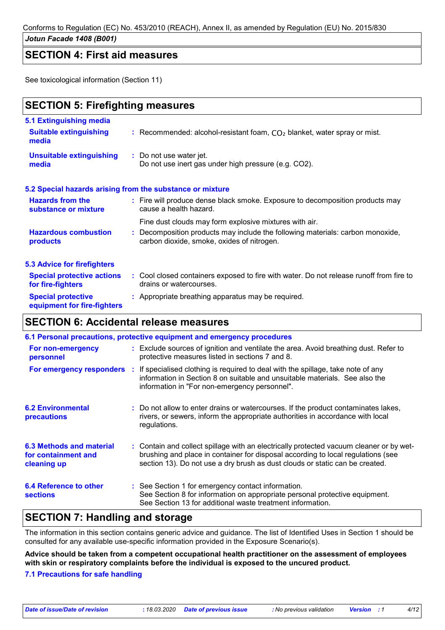Conforms to Regulation (EC) No. 453/2010 (REACH), Annex II, as amended by Regulation (EU) No. 2015/830

#### *Jotun Facade 1408 (B001)*

### **SECTION 4: First aid measures**

See toxicological information (Section 11)

## **SECTION 5: Firefighting measures**

| 5.1 Extinguishing media                                |                                                                                                                              |
|--------------------------------------------------------|------------------------------------------------------------------------------------------------------------------------------|
| <b>Suitable extinguishing</b><br>media                 | : Recommended: alcohol-resistant foam, $CO2$ blanket, water spray or mist.                                                   |
| <b>Unsuitable extinguishing</b><br>media               | : Do not use water jet.<br>Do not use inert gas under high pressure (e.g. CO2).                                              |
|                                                        | 5.2 Special hazards arising from the substance or mixture                                                                    |
| <b>Hazards from the</b><br>substance or mixture        | : Fire will produce dense black smoke. Exposure to decomposition products may<br>cause a health hazard.                      |
|                                                        | Fine dust clouds may form explosive mixtures with air.                                                                       |
| <b>Hazardous combustion</b><br>products                | : Decomposition products may include the following materials: carbon monoxide,<br>carbon dioxide, smoke, oxides of nitrogen. |
| <b>5.3 Advice for firefighters</b>                     |                                                                                                                              |
| <b>Special protective actions</b><br>for fire-fighters | : Cool closed containers exposed to fire with water. Do not release runoff from fire to<br>drains or watercourses.           |
| <b>Special protective</b>                              | : Appropriate breathing apparatus may be required.                                                                           |

### **SECTION 6: Accidental release measures**

**equipment for fire-fighters**

|                                                                       | 6.1 Personal precautions, protective equipment and emergency procedures                                                                                                                                                                                     |
|-----------------------------------------------------------------------|-------------------------------------------------------------------------------------------------------------------------------------------------------------------------------------------------------------------------------------------------------------|
| For non-emergency<br>personnel                                        | : Exclude sources of ignition and ventilate the area. Avoid breathing dust. Refer to<br>protective measures listed in sections 7 and 8.                                                                                                                     |
| For emergency responders :                                            | If specialised clothing is required to deal with the spillage, take note of any<br>information in Section 8 on suitable and unsuitable materials. See also the<br>information in "For non-emergency personnel".                                             |
| <b>6.2 Environmental</b><br>precautions                               | : Do not allow to enter drains or watercourses. If the product contaminates lakes,<br>rivers, or sewers, inform the appropriate authorities in accordance with local<br>regulations.                                                                        |
| <b>6.3 Methods and material</b><br>for containment and<br>cleaning up | : Contain and collect spillage with an electrically protected vacuum cleaner or by wet-<br>brushing and place in container for disposal according to local regulations (see<br>section 13). Do not use a dry brush as dust clouds or static can be created. |
| 6.4 Reference to other<br><b>sections</b>                             | : See Section 1 for emergency contact information.<br>See Section 8 for information on appropriate personal protective equipment.<br>See Section 13 for additional waste treatment information.                                                             |

## **SECTION 7: Handling and storage**

The information in this section contains generic advice and guidance. The list of Identified Uses in Section 1 should be consulted for any available use-specific information provided in the Exposure Scenario(s).

**Advice should be taken from a competent occupational health practitioner on the assessment of employees with skin or respiratory complaints before the individual is exposed to the uncured product.**

#### **7.1 Precautions for safe handling**

*Date of issue/Date of revision* **:** *18.03.2020 Date of previous issue : No previous validation Version : 1 4/12*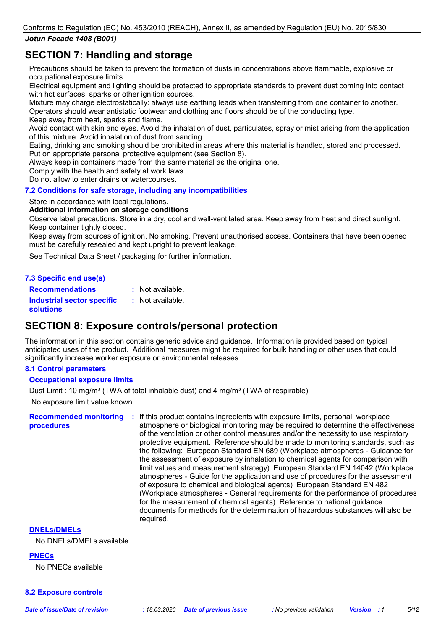### **SECTION 7: Handling and storage**

Precautions should be taken to prevent the formation of dusts in concentrations above flammable, explosive or occupational exposure limits.

Electrical equipment and lighting should be protected to appropriate standards to prevent dust coming into contact with hot surfaces, sparks or other ignition sources.

Mixture may charge electrostatically: always use earthing leads when transferring from one container to another. Operators should wear antistatic footwear and clothing and floors should be of the conducting type.

Keep away from heat, sparks and flame.

Avoid contact with skin and eyes. Avoid the inhalation of dust, particulates, spray or mist arising from the application of this mixture. Avoid inhalation of dust from sanding.

Eating, drinking and smoking should be prohibited in areas where this material is handled, stored and processed. Put on appropriate personal protective equipment (see Section 8).

Always keep in containers made from the same material as the original one.

Comply with the health and safety at work laws.

Do not allow to enter drains or watercourses.

#### **7.2 Conditions for safe storage, including any incompatibilities**

#### Store in accordance with local regulations.

#### **Additional information on storage conditions**

Observe label precautions. Store in a dry, cool and well-ventilated area. Keep away from heat and direct sunlight. Keep container tightly closed.

Keep away from sources of ignition. No smoking. Prevent unauthorised access. Containers that have been opened must be carefully resealed and kept upright to prevent leakage.

See Technical Data Sheet / packaging for further information.

#### **7.3 Specific end use(s) Recommendations :**

: Not available.

**Industrial sector specific : solutions** : Not available.

### **SECTION 8: Exposure controls/personal protection**

The information in this section contains generic advice and guidance. Information is provided based on typical anticipated uses of the product. Additional measures might be required for bulk handling or other uses that could significantly increase worker exposure or environmental releases.

#### **8.1 Control parameters**

#### **Occupational exposure limits**

No exposure limit value known. Dust Limit : 10 mg/m<sup>3</sup> (TWA of total inhalable dust) and 4 mg/m<sup>3</sup> (TWA of respirable)

**Recommended monitoring procedures**

**:** If this product contains ingredients with exposure limits, personal, workplace atmosphere or biological monitoring may be required to determine the effectiveness of the ventilation or other control measures and/or the necessity to use respiratory protective equipment. Reference should be made to monitoring standards, such as the following: European Standard EN 689 (Workplace atmospheres - Guidance for the assessment of exposure by inhalation to chemical agents for comparison with limit values and measurement strategy) European Standard EN 14042 (Workplace atmospheres - Guide for the application and use of procedures for the assessment of exposure to chemical and biological agents) European Standard EN 482 (Workplace atmospheres - General requirements for the performance of procedures for the measurement of chemical agents) Reference to national guidance documents for methods for the determination of hazardous substances will also be required.

#### **DNELs/DMELs**

No DNELs/DMELs available.

**PNECs**

No PNECs available

#### **8.2 Exposure controls**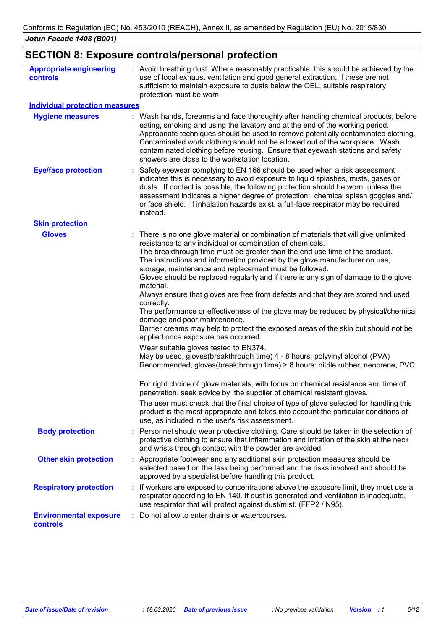# **SECTION 8: Exposure controls/personal protection**

| <b>Appropriate engineering</b><br>controls       | : Avoid breathing dust. Where reasonably practicable, this should be achieved by the<br>use of local exhaust ventilation and good general extraction. If these are not<br>sufficient to maintain exposure to dusts below the OEL, suitable respiratory<br>protection must be worn.                                                                                                                                                                                                                                                                                                                                                                                                                                                                                                                                                                                                                                                                                                                                                                                                                                                                                                                                                                                                                                                                                                                                                              |  |
|--------------------------------------------------|-------------------------------------------------------------------------------------------------------------------------------------------------------------------------------------------------------------------------------------------------------------------------------------------------------------------------------------------------------------------------------------------------------------------------------------------------------------------------------------------------------------------------------------------------------------------------------------------------------------------------------------------------------------------------------------------------------------------------------------------------------------------------------------------------------------------------------------------------------------------------------------------------------------------------------------------------------------------------------------------------------------------------------------------------------------------------------------------------------------------------------------------------------------------------------------------------------------------------------------------------------------------------------------------------------------------------------------------------------------------------------------------------------------------------------------------------|--|
| <b>Individual protection measures</b>            |                                                                                                                                                                                                                                                                                                                                                                                                                                                                                                                                                                                                                                                                                                                                                                                                                                                                                                                                                                                                                                                                                                                                                                                                                                                                                                                                                                                                                                                 |  |
| <b>Hygiene measures</b>                          | : Wash hands, forearms and face thoroughly after handling chemical products, before<br>eating, smoking and using the lavatory and at the end of the working period.<br>Appropriate techniques should be used to remove potentially contaminated clothing.<br>Contaminated work clothing should not be allowed out of the workplace. Wash<br>contaminated clothing before reusing. Ensure that eyewash stations and safety<br>showers are close to the workstation location.                                                                                                                                                                                                                                                                                                                                                                                                                                                                                                                                                                                                                                                                                                                                                                                                                                                                                                                                                                     |  |
| <b>Eye/face protection</b>                       | Safety eyewear complying to EN 166 should be used when a risk assessment<br>indicates this is necessary to avoid exposure to liquid splashes, mists, gases or<br>dusts. If contact is possible, the following protection should be worn, unless the<br>assessment indicates a higher degree of protection: chemical splash goggles and/<br>or face shield. If inhalation hazards exist, a full-face respirator may be required<br>instead.                                                                                                                                                                                                                                                                                                                                                                                                                                                                                                                                                                                                                                                                                                                                                                                                                                                                                                                                                                                                      |  |
| <b>Skin protection</b>                           |                                                                                                                                                                                                                                                                                                                                                                                                                                                                                                                                                                                                                                                                                                                                                                                                                                                                                                                                                                                                                                                                                                                                                                                                                                                                                                                                                                                                                                                 |  |
| <b>Gloves</b>                                    | There is no one glove material or combination of materials that will give unlimited<br>resistance to any individual or combination of chemicals.<br>The breakthrough time must be greater than the end use time of the product.<br>The instructions and information provided by the glove manufacturer on use,<br>storage, maintenance and replacement must be followed.<br>Gloves should be replaced regularly and if there is any sign of damage to the glove<br>material.<br>Always ensure that gloves are free from defects and that they are stored and used<br>correctly.<br>The performance or effectiveness of the glove may be reduced by physical/chemical<br>damage and poor maintenance.<br>Barrier creams may help to protect the exposed areas of the skin but should not be<br>applied once exposure has occurred.<br>Wear suitable gloves tested to EN374.<br>May be used, gloves(breakthrough time) 4 - 8 hours: polyvinyl alcohol (PVA)<br>Recommended, gloves(breakthrough time) > 8 hours: nitrile rubber, neoprene, PVC<br>For right choice of glove materials, with focus on chemical resistance and time of<br>penetration, seek advice by the supplier of chemical resistant gloves.<br>The user must check that the final choice of type of glove selected for handling this<br>product is the most appropriate and takes into account the particular conditions of<br>use, as included in the user's risk assessment. |  |
| <b>Body protection</b>                           | Personnel should wear protective clothing. Care should be taken in the selection of<br>protective clothing to ensure that inflammation and irritation of the skin at the neck<br>and wrists through contact with the powder are avoided.                                                                                                                                                                                                                                                                                                                                                                                                                                                                                                                                                                                                                                                                                                                                                                                                                                                                                                                                                                                                                                                                                                                                                                                                        |  |
| <b>Other skin protection</b>                     | Appropriate footwear and any additional skin protection measures should be<br>selected based on the task being performed and the risks involved and should be<br>approved by a specialist before handling this product.                                                                                                                                                                                                                                                                                                                                                                                                                                                                                                                                                                                                                                                                                                                                                                                                                                                                                                                                                                                                                                                                                                                                                                                                                         |  |
| <b>Respiratory protection</b>                    | : If workers are exposed to concentrations above the exposure limit, they must use a<br>respirator according to EN 140. If dust is generated and ventilation is inadequate,<br>use respirator that will protect against dust/mist. (FFP2 / N95).                                                                                                                                                                                                                                                                                                                                                                                                                                                                                                                                                                                                                                                                                                                                                                                                                                                                                                                                                                                                                                                                                                                                                                                                |  |
| <b>Environmental exposure</b><br><b>controls</b> | Do not allow to enter drains or watercourses.                                                                                                                                                                                                                                                                                                                                                                                                                                                                                                                                                                                                                                                                                                                                                                                                                                                                                                                                                                                                                                                                                                                                                                                                                                                                                                                                                                                                   |  |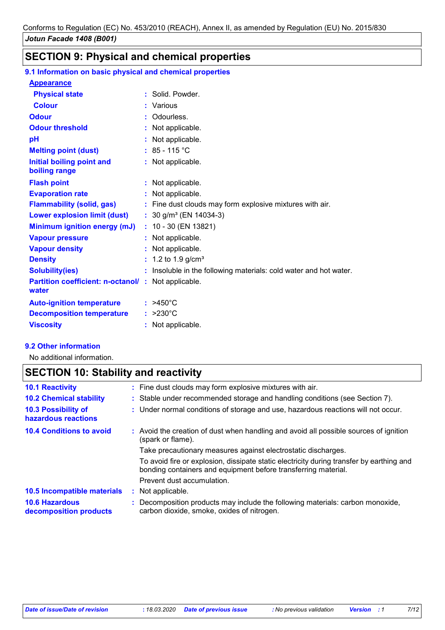# **SECTION 9: Physical and chemical properties**

### **9.1 Information on basic physical and chemical properties**

| <b>Appearance</b>                                                  |                                                                   |
|--------------------------------------------------------------------|-------------------------------------------------------------------|
| <b>Physical state</b>                                              | Solid, Powder,                                                    |
| <b>Colour</b>                                                      | : Various                                                         |
| <b>Odour</b>                                                       | : Odourless.                                                      |
| <b>Odour threshold</b>                                             | : Not applicable.                                                 |
| pH                                                                 | : Not applicable.                                                 |
| <b>Melting point (dust)</b>                                        | : $85 - 115$ °C                                                   |
| Initial boiling point and<br>boiling range                         | : Not applicable.                                                 |
| <b>Flash point</b>                                                 | : Not applicable.                                                 |
| <b>Evaporation rate</b>                                            | : Not applicable.                                                 |
| <b>Flammability (solid, gas)</b>                                   | : Fine dust clouds may form explosive mixtures with air.          |
| <b>Lower explosion limit (dust)</b>                                | : $30$ g/m <sup>3</sup> (EN 14034-3)                              |
| <b>Minimum ignition energy (mJ)</b>                                | $: 10 - 30$ (EN 13821)                                            |
| <b>Vapour pressure</b>                                             | : Not applicable.                                                 |
| <b>Vapour density</b>                                              | : Not applicable.                                                 |
| <b>Density</b>                                                     | : 1.2 to 1.9 g/cm <sup>3</sup>                                    |
| <b>Solubility(ies)</b>                                             | : Insoluble in the following materials: cold water and hot water. |
| <b>Partition coefficient: n-octanol/: Not applicable.</b><br>water |                                                                   |
| <b>Auto-ignition temperature</b>                                   | $:$ >450°C                                                        |
| <b>Decomposition temperature</b>                                   | $: >230^{\circ}$ C                                                |
| <b>Viscosity</b>                                                   | : Not applicable.                                                 |

#### **9.2 Other information**

No additional information.

# **SECTION 10: Stability and reactivity**

| <b>10.1 Reactivity</b>                            | : Fine dust clouds may form explosive mixtures with air.                                                                                                   |
|---------------------------------------------------|------------------------------------------------------------------------------------------------------------------------------------------------------------|
| <b>10.2 Chemical stability</b>                    | : Stable under recommended storage and handling conditions (see Section 7).                                                                                |
| <b>10.3 Possibility of</b><br>hazardous reactions | : Under normal conditions of storage and use, hazardous reactions will not occur.                                                                          |
| <b>10.4 Conditions to avoid</b>                   | : Avoid the creation of dust when handling and avoid all possible sources of ignition<br>(spark or flame).                                                 |
|                                                   | Take precautionary measures against electrostatic discharges.                                                                                              |
|                                                   | To avoid fire or explosion, dissipate static electricity during transfer by earthing and<br>bonding containers and equipment before transferring material. |
|                                                   | Prevent dust accumulation.                                                                                                                                 |
| 10.5 Incompatible materials                       | Not applicable.<br>÷.                                                                                                                                      |
| <b>10.6 Hazardous</b><br>decomposition products   | : Decomposition products may include the following materials: carbon monoxide,<br>carbon dioxide, smoke, oxides of nitrogen.                               |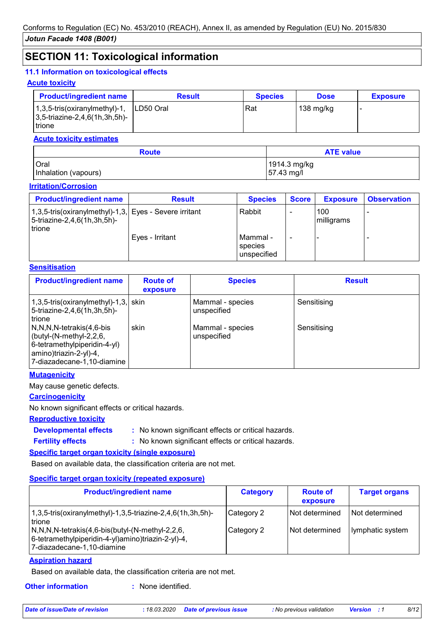### **SECTION 11: Toxicological information**

#### **11.1 Information on toxicological effects**

#### **Acute toxicity**

| <b>Product/ingredient name</b>                                                           | <b>Result</b> | <b>Species</b> | <b>Dose</b> | <b>Exposure</b> |
|------------------------------------------------------------------------------------------|---------------|----------------|-------------|-----------------|
| $1,3,5$ -tris(oxiranylmethyl)-1,<br>$ 3,5\text{-}$ triazine-2,4,6(1h,3h,5h)-<br>l trione | ILD50 Oral    | Rat            | 138 mg/kg   |                 |

#### **Acute toxicity estimates**

| <b>Route</b>         | <b>ATE value</b> |  |  |
|----------------------|------------------|--|--|
| <b>Oral</b>          | 1914.3 mg/kg     |  |  |
| Inhalation (vapours) | 57.43 mg/l       |  |  |

#### **Irritation/Corrosion**

| <b>Product/ingredient name</b>                                                                           | <b>Result</b>   | <b>Species</b>                     | <b>Score</b> | <b>Exposure</b>   | <b>Observation</b> |
|----------------------------------------------------------------------------------------------------------|-----------------|------------------------------------|--------------|-------------------|--------------------|
| 1,3,5-tris(oxiranylmethyl)-1,3, Eyes - Severe irritant<br>5-triazine-2,4,6(1h,3h,5h)-<br><b>I</b> trione |                 | Rabbit                             |              | 100<br>milligrams |                    |
|                                                                                                          | Eyes - Irritant | Mammal -<br>species<br>unspecified |              |                   |                    |

#### **Sensitisation**

| <b>Product/ingredient name</b>                                                                                                                        | <b>Route of</b><br>exposure | <b>Species</b>                  | <b>Result</b> |
|-------------------------------------------------------------------------------------------------------------------------------------------------------|-----------------------------|---------------------------------|---------------|
| $1,3,5$ -tris(oxiranylmethyl)-1,3, skin<br>5-triazine-2,4,6(1h,3h,5h)-<br>trione                                                                      |                             | Mammal - species<br>unspecified | Sensitising   |
| N,N,N,N-tetrakis(4,6-bis<br>$\vert$ (butyl-(N-methyl-2,2,6,<br>6-tetramethylpiperidin-4-yl)<br>  amino)triazin-2-yl)-4,<br>7-diazadecane-1,10-diamine | skin                        | Mammal - species<br>unspecified | Sensitising   |

#### **Mutagenicity**

May cause genetic defects.

#### **Carcinogenicity**

No known significant effects or critical hazards.

#### **Reproductive toxicity**

**Developmental effects :**

**Fertility effects :**

: No known significant effects or critical hazards.

: No known significant effects or critical hazards.

#### **Specific target organ toxicity (single exposure)**

Based on available data, the classification criteria are not met.

#### **Specific target organ toxicity (repeated exposure)**

| <b>Product/ingredient name</b>                                                                                                                                                                                                                                                                 | <b>Category</b>          | <b>Route of</b><br>exposure      | <b>Target organs</b>                 |
|------------------------------------------------------------------------------------------------------------------------------------------------------------------------------------------------------------------------------------------------------------------------------------------------|--------------------------|----------------------------------|--------------------------------------|
| $1,3,5$ -tris(oxiranylmethyl)-1,3,5-triazine-2,4,6(1h,3h,5h)-<br><b>Itrione</b><br>$\left(N, N, N\right)$ -tetrakis $\left(4, 6\right)$ -bis $\left(\frac{1}{2}\right)$ - $\left(N\right)$ -methyl-2,2,6,<br> 6-tetramethylpiperidin-4-yl)amino)triazin-2-yl)-4,<br>7-diazadecane-1,10-diamine | Category 2<br>Category 2 | Not determined<br>Not determined | l Not determined<br>Iymphatic system |

#### **Aspiration hazard**

Based on available data, the classification criteria are not met.

**Other information :**

: None identified.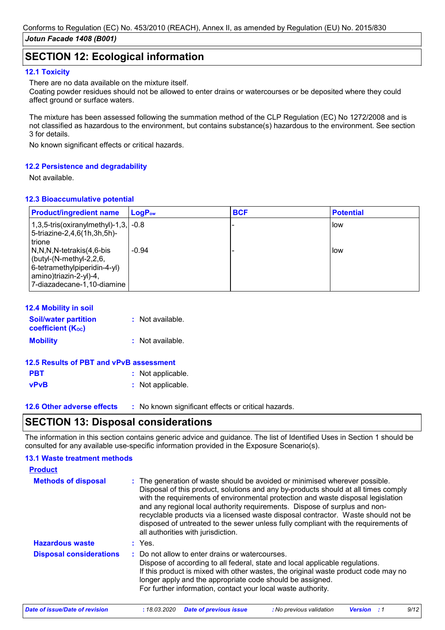## **SECTION 12: Ecological information**

#### **12.1 Toxicity**

There are no data available on the mixture itself.

Coating powder residues should not be allowed to enter drains or watercourses or be deposited where they could affect ground or surface waters.

The mixture has been assessed following the summation method of the CLP Regulation (EC) No 1272/2008 and is not classified as hazardous to the environment, but contains substance(s) hazardous to the environment. See section 3 for details.

No known significant effects or critical hazards.

#### **12.2 Persistence and degradability**

Not available.

#### **12.3 Bioaccumulative potential**

| <b>Product/ingredient name</b>                                                                                                               | $\mathsf{LogP}_\mathsf{ow}$ | <b>BCF</b> | <b>Potential</b> |
|----------------------------------------------------------------------------------------------------------------------------------------------|-----------------------------|------------|------------------|
| $1,3,5$ -tris(oxiranylmethyl)-1,3, $-0.8$<br>5-triazine-2,4,6(1h,3h,5h)-<br>trione                                                           |                             |            | llow             |
| N,N,N,N-tetrakis(4,6-bis <br>(butyl-(N-methyl-2,2,6,<br>6-tetramethylpiperidin-4-yl)<br>amino)triazin-2-yl)-4,<br>7-diazadecane-1,10-diamine | $-0.94$                     |            | How              |

#### **12.4 Mobility in soil**

| <b>Soil/water partition</b><br><b>coefficient (Koc)</b> | : Not available. |
|---------------------------------------------------------|------------------|
| <b>Mobility</b>                                         | : Not available. |

| 12.5 Results of PBT and vPvB assessment |                   |
|-----------------------------------------|-------------------|
| <b>PBT</b>                              | : Not applicable. |
| <b>vPvB</b>                             | : Not applicable. |

**12.6 Other adverse effects** : No known significant effects or critical hazards.

### **SECTION 13: Disposal considerations**

The information in this section contains generic advice and guidance. The list of Identified Uses in Section 1 should be consulted for any available use-specific information provided in the Exposure Scenario(s).

# **13.1 Waste treatment methods**

| <b>Product</b>                 |                                                                                                                                                                                                                                                                                                                                                                                                                                                                                                                                                      |
|--------------------------------|------------------------------------------------------------------------------------------------------------------------------------------------------------------------------------------------------------------------------------------------------------------------------------------------------------------------------------------------------------------------------------------------------------------------------------------------------------------------------------------------------------------------------------------------------|
| <b>Methods of disposal</b>     | : The generation of waste should be avoided or minimised wherever possible.<br>Disposal of this product, solutions and any by-products should at all times comply<br>with the requirements of environmental protection and waste disposal legislation<br>and any regional local authority requirements. Dispose of surplus and non-<br>recyclable products via a licensed waste disposal contractor. Waste should not be<br>disposed of untreated to the sewer unless fully compliant with the requirements of<br>all authorities with jurisdiction. |
| <b>Hazardous waste</b>         | $:$ Yes.                                                                                                                                                                                                                                                                                                                                                                                                                                                                                                                                             |
| <b>Disposal considerations</b> | : Do not allow to enter drains or watercourses.<br>Dispose of according to all federal, state and local applicable regulations.<br>If this product is mixed with other wastes, the original waste product code may no<br>longer apply and the appropriate code should be assigned.<br>For further information, contact your local waste authority.                                                                                                                                                                                                   |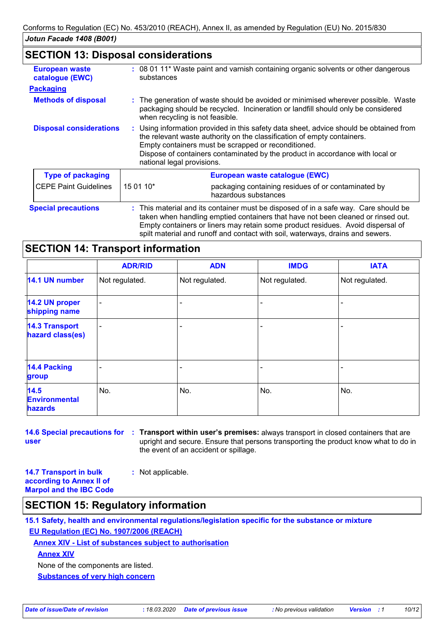### **SECTION 13: Disposal considerations**

| <b>European waste</b><br>catalogue (EWC) | substances                 | : 08 01 11* Waste paint and varnish containing organic solvents or other dangerous                                                                                                                                                                                                                        |
|------------------------------------------|----------------------------|-----------------------------------------------------------------------------------------------------------------------------------------------------------------------------------------------------------------------------------------------------------------------------------------------------------|
| <b>Packaging</b>                         |                            |                                                                                                                                                                                                                                                                                                           |
| <b>Methods of disposal</b>               |                            | : The generation of waste should be avoided or minimised wherever possible. Waste<br>packaging should be recycled. Incineration or landfill should only be considered<br>when recycling is not feasible.                                                                                                  |
| <b>Disposal considerations</b>           | national legal provisions. | : Using information provided in this safety data sheet, advice should be obtained from<br>the relevant waste authority on the classification of empty containers.<br>Empty containers must be scrapped or reconditioned.<br>Dispose of containers contaminated by the product in accordance with local or |
| <b>Type of packaging</b>                 |                            | European waste catalogue (EWC)                                                                                                                                                                                                                                                                            |
| <b>CEPE Paint Guidelines</b>             | 15 01 10*                  | packaging containing residues of or contaminated by<br>hazardous substances                                                                                                                                                                                                                               |
| <b>Special precautions</b>               |                            | : This material and its container must be disposed of in a safe way. Care should be<br>taken when handling emptied containers that have not been cleaned or rinsed out.<br>Empty containers or liners may retain some product residues. Avoid dispersal of                                                |

spilt material and runoff and contact with soil, waterways, drains and sewers.

### **SECTION 14: Transport information**

|                                           | <b>ADR/RID</b>           | <b>ADN</b>     | <b>IMDG</b>    | <b>IATA</b>    |
|-------------------------------------------|--------------------------|----------------|----------------|----------------|
| 14.1 UN number                            | Not regulated.           | Not regulated. | Not regulated. | Not regulated. |
| 14.2 UN proper<br>shipping name           | $\blacksquare$           |                |                |                |
| <b>14.3 Transport</b><br>hazard class(es) | $\overline{\phantom{a}}$ |                |                |                |
| <b>14.4 Packing</b><br>group              | ٠                        |                |                |                |
| 14.5<br><b>Environmental</b><br>hazards   | No.                      | No.            | No.            | No.            |

**14.6 Special precautions for : Transport within user's premises:** always transport in closed containers that are **user** upright and secure. Ensure that persons transporting the product know what to do in the event of an accident or spillage.

**14.7 Transport in bulk according to Annex II of Marpol and the IBC Code :** Not applicable.

### **SECTION 15: Regulatory information**

**15.1 Safety, health and environmental regulations/legislation specific for the substance or mixture EU Regulation (EC) No. 1907/2006 (REACH)**

**Annex XIV - List of substances subject to authorisation**

**Annex XIV**

None of the components are listed.

**Substances of very high concern**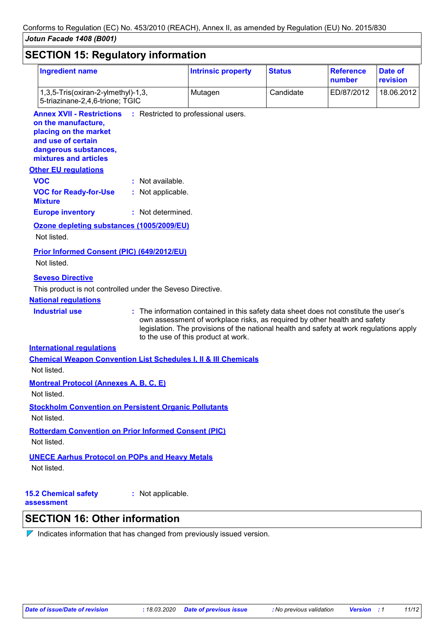| <b>Ingredient name</b>                                                                                                                                   |                   | <b>Intrinsic property</b>                                                                                                                                         | <b>Status</b> | <b>Reference</b><br>number | Date of<br>revision |
|----------------------------------------------------------------------------------------------------------------------------------------------------------|-------------------|-------------------------------------------------------------------------------------------------------------------------------------------------------------------|---------------|----------------------------|---------------------|
| 1,3,5-Tris(oxiran-2-ylmethyl)-1,3,<br>5-triazinane-2,4,6-trione; TGIC                                                                                    |                   | Mutagen                                                                                                                                                           | Candidate     | ED/87/2012                 | 18.06.2012          |
| <b>Annex XVII - Restrictions</b><br>on the manufacture,<br>placing on the market<br>and use of certain<br>dangerous substances,<br>mixtures and articles |                   | : Restricted to professional users.                                                                                                                               |               |                            |                     |
| <b>Other EU regulations</b>                                                                                                                              |                   |                                                                                                                                                                   |               |                            |                     |
| <b>VOC</b>                                                                                                                                               | : Not available.  |                                                                                                                                                                   |               |                            |                     |
| <b>VOC for Ready-for-Use</b><br><b>Mixture</b>                                                                                                           | : Not applicable. |                                                                                                                                                                   |               |                            |                     |
| <b>Europe inventory</b>                                                                                                                                  | : Not determined. |                                                                                                                                                                   |               |                            |                     |
| Ozone depleting substances (1005/2009/EU)<br>Not listed.                                                                                                 |                   |                                                                                                                                                                   |               |                            |                     |
| <b>Prior Informed Consent (PIC) (649/2012/EU)</b><br>Not listed.<br><b>Seveso Directive</b>                                                              |                   |                                                                                                                                                                   |               |                            |                     |
| This product is not controlled under the Seveso Directive.                                                                                               |                   |                                                                                                                                                                   |               |                            |                     |
| <b>National regulations</b>                                                                                                                              |                   |                                                                                                                                                                   |               |                            |                     |
| <b>Industrial use</b>                                                                                                                                    |                   | : The information contained in this safety data sheet does not constitute the user's<br>own assessment of workplace risks, as required by other health and safety |               |                            |                     |
|                                                                                                                                                          |                   | legislation. The provisions of the national health and safety at work regulations apply<br>to the use of this product at work.                                    |               |                            |                     |
| <b>International regulations</b>                                                                                                                         |                   |                                                                                                                                                                   |               |                            |                     |
| <b>Chemical Weapon Convention List Schedules I, II &amp; III Chemicals</b>                                                                               |                   |                                                                                                                                                                   |               |                            |                     |
| Not listed.                                                                                                                                              |                   |                                                                                                                                                                   |               |                            |                     |
| <b>Montreal Protocol (Annexes A, B, C, E)</b>                                                                                                            |                   |                                                                                                                                                                   |               |                            |                     |
| Not listed.                                                                                                                                              |                   |                                                                                                                                                                   |               |                            |                     |
| <b>Stockholm Convention on Persistent Organic Pollutants</b>                                                                                             |                   |                                                                                                                                                                   |               |                            |                     |
| Not listed.                                                                                                                                              |                   |                                                                                                                                                                   |               |                            |                     |
| <b>Rotterdam Convention on Prior Informed Consent (PIC)</b><br>Not listed.                                                                               |                   |                                                                                                                                                                   |               |                            |                     |
| <b>UNECE Aarhus Protocol on POPs and Heavy Metals</b>                                                                                                    |                   |                                                                                                                                                                   |               |                            |                     |

**15.2 Chemical safety** 

**:** Not applicable.

**assessment**

# **SECTION 16: Other information**

 $\nabla$  Indicates information that has changed from previously issued version.